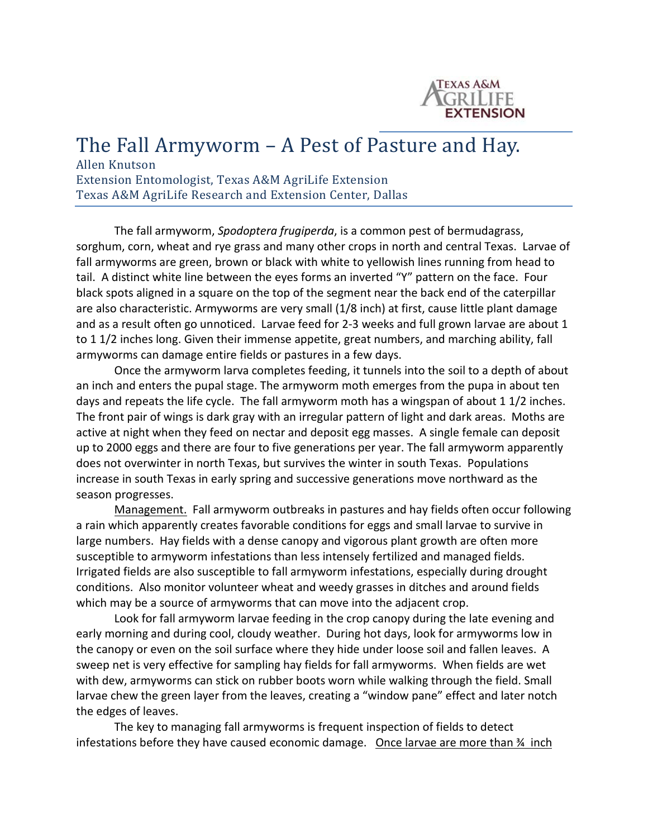

## The Fall Armyworm – A Pest of Pasture and Hay.<br>Allen Knutson

Extension Entomologist, Texas A&M AgriLife Extension Texas A&M AgriLife Research and Extension Center, Dallas

The fall armyworm, *Spodoptera frugiperda*, is a common pest of bermudagrass, sorghum, corn, wheat and rye grass and many other crops in north and central Texas. Larvae of fall armyworms are green, brown or black with white to yellowish lines running from head to tail. A distinct white line between the eyes forms an inverted "Y" pattern on the face. Four black spots aligned in a square on the top of the segment near the back end of the caterpillar are also characteristic. Armyworms are very small (1/8 inch) at first, cause little plant damage and as a result often go unnoticed. Larvae feed for 2-3 weeks and full grown larvae are about 1 to 1 1/2 inches long. Given their immense appetite, great numbers, and marching ability, fall armyworms can damage entire fields or pastures in a few days.

Once the armyworm larva completes feeding, it tunnels into the soil to a depth of about an inch and enters the pupal stage. The armyworm moth emerges from the pupa in about ten days and repeats the life cycle. The fall armyworm moth has a wingspan of about 1 1/2 inches. The front pair of wings is dark gray with an irregular pattern of light and dark areas. Moths are active at night when they feed on nectar and deposit egg masses. A single female can deposit up to 2000 eggs and there are four to five generations per year. The fall armyworm apparently does not overwinter in north Texas, but survives the winter in south Texas. Populations increase in south Texas in early spring and successive generations move northward as the season progresses.

Management. Fall armyworm outbreaks in pastures and hay fields often occur following a rain which apparently creates favorable conditions for eggs and small larvae to survive in large numbers. Hay fields with a dense canopy and vigorous plant growth are often more susceptible to armyworm infestations than less intensely fertilized and managed fields. Irrigated fields are also susceptible to fall armyworm infestations, especially during drought conditions. Also monitor volunteer wheat and weedy grasses in ditches and around fields which may be a source of armyworms that can move into the adjacent crop.

Look for fall armyworm larvae feeding in the crop canopy during the late evening and early morning and during cool, cloudy weather. During hot days, look for armyworms low in the canopy or even on the soil surface where they hide under loose soil and fallen leaves. A sweep net is very effective for sampling hay fields for fall armyworms. When fields are wet with dew, armyworms can stick on rubber boots worn while walking through the field. Small larvae chew the green layer from the leaves, creating a "window pane" effect and later notch the edges of leaves.

The key to managing fall armyworms is frequent inspection of fields to detect infestations before they have caused economic damage. Once larvae are more than  $\frac{1}{2}$  inch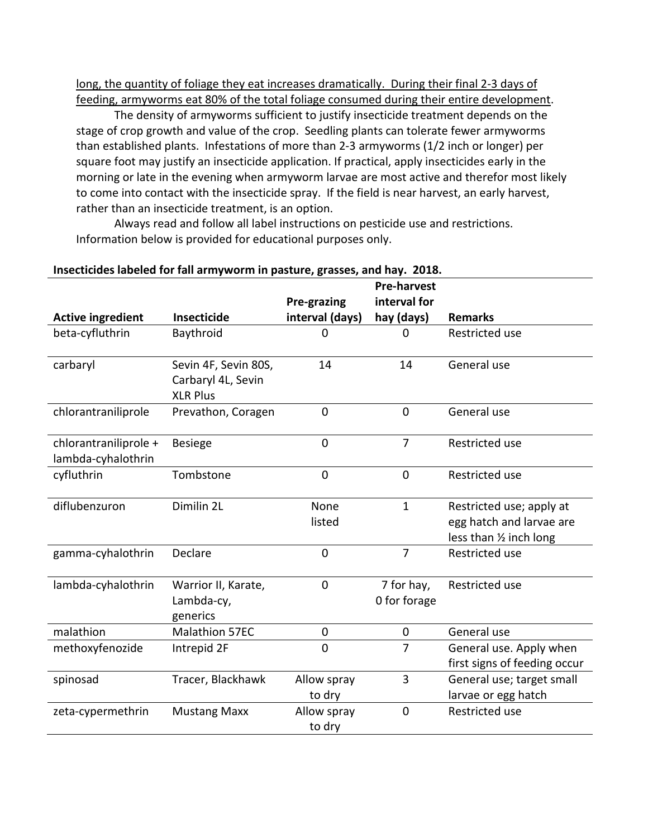long, the quantity of foliage they eat increases dramatically. During their final 2-3 days of feeding, armyworms eat 80% of the total foliage consumed during their entire development.

The density of armyworms sufficient to justify insecticide treatment depends on the stage of crop growth and value of the crop. Seedling plants can tolerate fewer armyworms than established plants. Infestations of more than 2-3 armyworms (1/2 inch or longer) per square foot may justify an insecticide application. If practical, apply insecticides early in the morning or late in the evening when armyworm larvae are most active and therefor most likely to come into contact with the insecticide spray. If the field is near harvest, an early harvest, rather than an insecticide treatment, is an option.

Always read and follow all label instructions on pesticide use and restrictions. Information below is provided for educational purposes only.

|                                             | msecuciues iabeieu for fair armyworm in pasture, grasses, anu nay. 2010. |                       | <b>Pre-harvest</b>         |                                                                                 |
|---------------------------------------------|--------------------------------------------------------------------------|-----------------------|----------------------------|---------------------------------------------------------------------------------|
|                                             |                                                                          | Pre-grazing           | interval for               |                                                                                 |
| <b>Active ingredient</b>                    | <b>Insecticide</b>                                                       | interval (days)       | hay (days)                 | <b>Remarks</b>                                                                  |
| beta-cyfluthrin                             | Baythroid                                                                | 0                     | 0                          | Restricted use                                                                  |
| carbaryl                                    | Sevin 4F, Sevin 80S,<br>Carbaryl 4L, Sevin<br><b>XLR Plus</b>            | 14                    | 14                         | General use                                                                     |
| chlorantraniliprole                         | Prevathon, Coragen                                                       | $\overline{0}$        | $\overline{0}$             | General use                                                                     |
| chlorantraniliprole +<br>lambda-cyhalothrin | <b>Besiege</b>                                                           | $\mathbf 0$           | $\overline{7}$             | Restricted use                                                                  |
| cyfluthrin                                  | Tombstone                                                                | $\mathbf 0$           | $\mathbf 0$                | Restricted use                                                                  |
| diflubenzuron                               | Dimilin 2L                                                               | None<br>listed        | $\mathbf{1}$               | Restricted use; apply at<br>egg hatch and larvae are<br>less than 1/2 inch long |
| gamma-cyhalothrin                           | Declare                                                                  | $\mathbf 0$           | $\overline{7}$             | Restricted use                                                                  |
| lambda-cyhalothrin                          | Warrior II, Karate,<br>Lambda-cy,<br>generics                            | $\mathbf 0$           | 7 for hay,<br>0 for forage | Restricted use                                                                  |
| malathion                                   | <b>Malathion 57EC</b>                                                    | $\mathbf 0$           | $\mathbf 0$                | General use                                                                     |
| methoxyfenozide                             | Intrepid 2F                                                              | $\overline{0}$        | $\overline{7}$             | General use. Apply when<br>first signs of feeding occur                         |
| spinosad                                    | Tracer, Blackhawk                                                        | Allow spray<br>to dry | 3                          | General use; target small<br>larvae or egg hatch                                |
| zeta-cypermethrin                           | <b>Mustang Maxx</b>                                                      | Allow spray<br>to dry | $\overline{0}$             | Restricted use                                                                  |

## **Insecticides labeled for fall armyworm in pasture, grasses, and hay. 2018.**